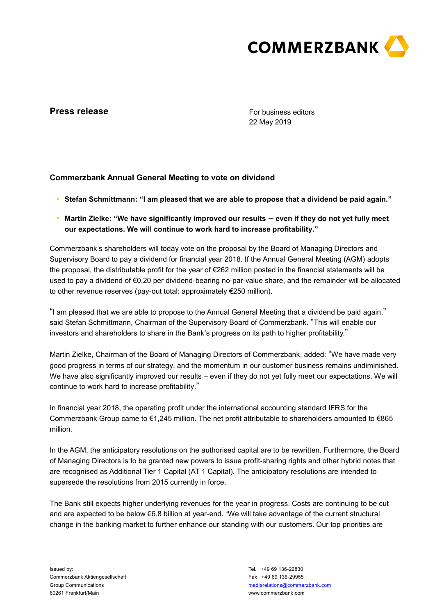

# **Press release**

For business editors 22 May 2019

## **Commerzbank Annual General Meeting to vote on dividend**

- **● Stefan Schmittmann: "I am pleased that we are able to propose that a dividend be paid again."**
- **● Martin Zielke: "We have significantly improved our results even if they do not yet fully meet our expectations. We will continue to work hard to increase profitability."**

Commerzbank's shareholders will today vote on the proposal by the Board of Managing Directors and Supervisory Board to pay a dividend for financial year 2018. If the Annual General Meeting (AGM) adopts the proposal, the distributable profit for the year of €262 million posted in the financial statements will be used to pay a dividend of €0.20 per dividend-bearing no-par-value share, and the remainder will be allocated to other revenue reserves (pay-out total: approximately €250 million).

"I am pleased that we are able to propose to the Annual General Meeting that a dividend be paid again," said Stefan Schmittmann, Chairman of the Supervisory Board of Commerzbank. "This will enable our investors and shareholders to share in the Bank's progress on its path to higher profitability."

Martin Zielke, Chairman of the Board of Managing Directors of Commerzbank, added: "We have made very good progress in terms of our strategy, and the momentum in our customer business remains undiminished. We have also significantly improved our results – even if they do not yet fully meet our expectations. We will continue to work hard to increase profitability."

In financial year 2018, the operating profit under the international accounting standard IFRS for the Commerzbank Group came to €1,245 million. The net profit attributable to shareholders amounted to €865 million.

In the AGM, the anticipatory resolutions on the authorised capital are to be rewritten. Furthermore, the Board of Managing Directors is to be granted new powers to issue profit-sharing rights and other hybrid notes that are recognised as Additional Tier 1 Capital (AT 1 Capital). The anticipatory resolutions are intended to supersede the resolutions from 2015 currently in force.

The Bank still expects higher underlying revenues for the year in progress. Costs are continuing to be cut and are expected to be below €6.8 billion at year-end. "We will take advantage of the current structural change in the banking market to further enhance our standing with our customers. Our top priorities are

Issued by: Commerzbank Aktiengesellschaft Group Communications 60261 Frankfurt/Main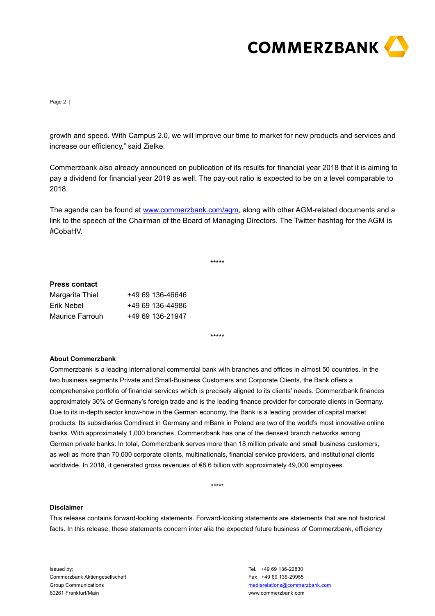

Page 2 |

growth and speed. With Campus 2.0, we will improve our time to market for new products and services and increase our efficiency," said Zielke.

Commerzbank also already announced on publication of its results for financial year 2018 that it is aiming to pay a dividend for financial year 2019 as well. The pay-out ratio is expected to be on a level comparable to 2018.

The agenda can be found at [www.commerzbank.com/agm,](http://www.commerzbank.com/agm) along with other AGM-related documents and a link to the speech of the Chairman of the Board of Managing Directors. The Twitter hashtag for the AGM is #CobaHV.

\*\*\*\*\*

### **Press contact**

| Margarita Thiel | +49 69 136-46646 |
|-----------------|------------------|
| Erik Nebel      | +49 69 136-44986 |
| Maurice Farrouh | +49 69 136-21947 |

\*\*\*\*\*

#### **About Commerzbank**

Commerzbank is a leading international commercial bank with branches and offices in almost 50 countries. In the two business segments Private and Small-Business Customers and Corporate Clients, the Bank offers a comprehensive portfolio of financial services which is precisely aligned to its clients' needs. Commerzbank finances approximately 30% of Germany's foreign trade and is the leading finance provider for corporate clients in Germany. Due to its in-depth sector know-how in the German economy, the Bank is a leading provider of capital market products. Its subsidiaries Comdirect in Germany and mBank in Poland are two of the world's most innovative online banks. With approximately 1,000 branches, Commerzbank has one of the densest branch networks among German private banks. In total, Commerzbank serves more than 18 million private and small business customers, as well as more than 70,000 corporate clients, multinationals, financial service providers, and institutional clients worldwide. In 2018, it generated gross revenues of €8.6 billion with approximately 49,000 employees.

\*\*\*\*\*

#### **Disclaimer**

This release contains forward-looking statements. Forward-looking statements are statements that are not historical facts. In this release, these statements concern inter alia the expected future business of Commerzbank, efficiency

Issued by: Commerzbank Aktiengesellschaft Group Communications 60261 Frankfurt/Main

Tel. +49 69 136-22830 Fax +49 69 136-29955 [mediarelations@commerzbank.com](mailto:mediarelations@commerzbank.com) www.commerzbank.com